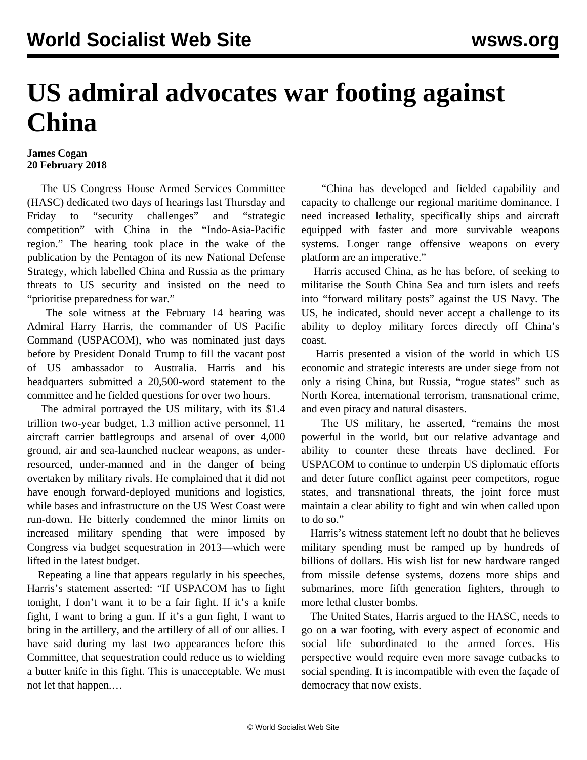## **US admiral advocates war footing against China**

## **James Cogan 20 February 2018**

 The US Congress House Armed Services Committee (HASC) dedicated two days of hearings last Thursday and Friday to "security challenges" and "strategic competition" with China in the "Indo-Asia-Pacific region." The hearing took place in the wake of the publication by the Pentagon of its new National Defense Strategy, which labelled China and Russia as the primary threats to US security and insisted on the need to "prioritise preparedness for war."

 The sole witness at the February 14 hearing was Admiral Harry Harris, the commander of US Pacific Command (USPACOM), who was nominated just days before by President Donald Trump to fill the vacant post of US ambassador to Australia. Harris and his headquarters submitted a 20,500-word statement to the committee and he fielded questions for over two hours.

 The admiral portrayed the US military, with its \$1.4 trillion two-year budget, 1.3 million active personnel, 11 aircraft carrier battlegroups and arsenal of over 4,000 ground, air and sea-launched nuclear weapons, as underresourced, under-manned and in the danger of being overtaken by military rivals. He complained that it did not have enough forward-deployed munitions and logistics, while bases and infrastructure on the US West Coast were run-down. He bitterly condemned the minor limits on increased military spending that were imposed by Congress via budget sequestration in 2013—which were lifted in the latest budget.

 Repeating a line that appears regularly in his speeches, Harris's statement asserted: "If USPACOM has to fight tonight, I don't want it to be a fair fight. If it's a knife fight, I want to bring a gun. If it's a gun fight, I want to bring in the artillery, and the artillery of all of our allies. I have said during my last two appearances before this Committee, that sequestration could reduce us to wielding a butter knife in this fight. This is unacceptable. We must not let that happen.…

 "China has developed and fielded capability and capacity to challenge our regional maritime dominance. I need increased lethality, specifically ships and aircraft equipped with faster and more survivable weapons systems. Longer range offensive weapons on every platform are an imperative."

 Harris accused China, as he has before, of seeking to militarise the South China Sea and turn islets and reefs into "forward military posts" against the US Navy. The US, he indicated, should never accept a challenge to its ability to deploy military forces directly off China's coast.

 Harris presented a vision of the world in which US economic and strategic interests are under siege from not only a rising China, but Russia, "rogue states" such as North Korea, international terrorism, transnational crime, and even piracy and natural disasters.

 The US military, he asserted, "remains the most powerful in the world, but our relative advantage and ability to counter these threats have declined. For USPACOM to continue to underpin US diplomatic efforts and deter future conflict against peer competitors, rogue states, and transnational threats, the joint force must maintain a clear ability to fight and win when called upon to do so."

 Harris's witness statement left no doubt that he believes military spending must be ramped up by hundreds of billions of dollars. His wish list for new hardware ranged from missile defense systems, dozens more ships and submarines, more fifth generation fighters, through to more lethal cluster bombs.

 The United States, Harris argued to the HASC, needs to go on a war footing, with every aspect of economic and social life subordinated to the armed forces. His perspective would require even more savage cutbacks to social spending. It is incompatible with even the façade of democracy that now exists.